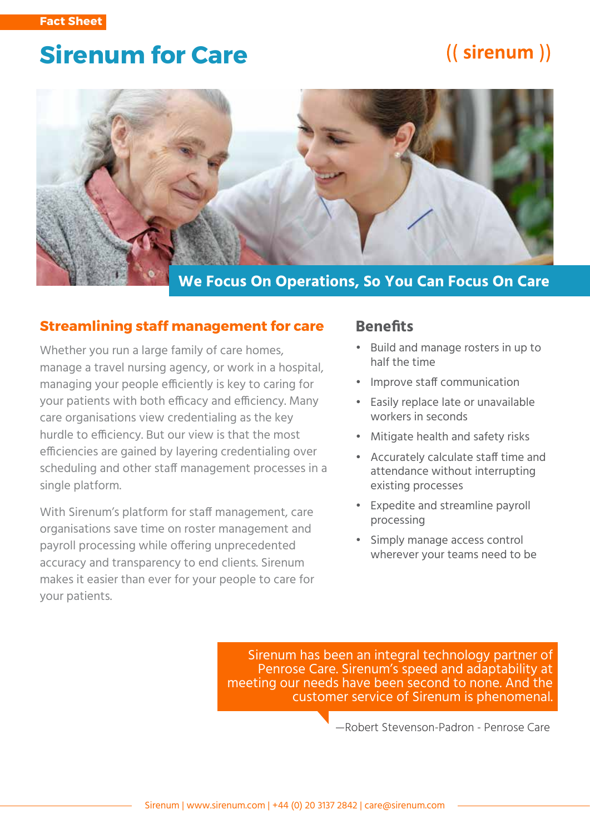# **Sirenum for Care**

# ((sirenum))



#### **Streamlining staff management for care**

Whether you run a large family of care homes, manage a travel nursing agency, or work in a hospital, managing your people efficiently is key to caring for your patients with both efficacy and efficiency. Many care organisations view credentialing as the key hurdle to efficiency. But our view is that the most efficiencies are gained by layering credentialing over scheduling and other staff management processes in a single platform.

With Sirenum's platform for staff management, care organisations save time on roster management and payroll processing while offering unprecedented accuracy and transparency to end clients. Sirenum makes it easier than ever for your people to care for your patients.

### **Benefits**

- Build and manage rosters in up to half the time
- Improve staff communication
- Easily replace late or unavailable workers in seconds
- Mitigate health and safety risks
- Accurately calculate staff time and attendance without interrupting existing processes
- Expedite and streamline payroll processing
- Simply manage access control wherever your teams need to be

Sirenum has been an integral technology partner of Penrose Care. Sirenum's speed and adaptability at meeting our needs have been second to none. And the customer service of Sirenum is phenomenal.

—Robert Stevenson-Padron - Penrose Care